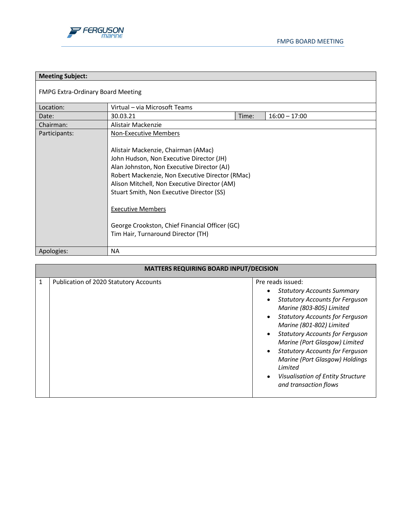

| <b>Meeting Subject:</b>                  |                                                                                                                                                                                                                                                                                                                                                                                                                                   |       |                 |
|------------------------------------------|-----------------------------------------------------------------------------------------------------------------------------------------------------------------------------------------------------------------------------------------------------------------------------------------------------------------------------------------------------------------------------------------------------------------------------------|-------|-----------------|
| <b>FMPG Extra-Ordinary Board Meeting</b> |                                                                                                                                                                                                                                                                                                                                                                                                                                   |       |                 |
| Location:                                | Virtual - via Microsoft Teams                                                                                                                                                                                                                                                                                                                                                                                                     |       |                 |
| Date:                                    | 30.03.21                                                                                                                                                                                                                                                                                                                                                                                                                          | Time: | $16:00 - 17:00$ |
| Chairman:                                | Alistair Mackenzie                                                                                                                                                                                                                                                                                                                                                                                                                |       |                 |
| Participants:                            | <b>Non-Executive Members</b><br>Alistair Mackenzie, Chairman (AMac)<br>John Hudson, Non Executive Director (JH)<br>Alan Johnston, Non Executive Director (AJ)<br>Robert Mackenzie, Non Executive Director (RMac)<br>Alison Mitchell, Non Executive Director (AM)<br>Stuart Smith, Non Executive Director (SS)<br><b>Executive Members</b><br>George Crookston, Chief Financial Officer (GC)<br>Tim Hair, Turnaround Director (TH) |       |                 |
| Apologies:                               | <b>NA</b>                                                                                                                                                                                                                                                                                                                                                                                                                         |       |                 |

| <b>MATTERS REQUIRING BOARD INPUT/DECISION</b> |                                        |                                                                                                                                                                                                                                                                                                                                                                                                                                                                                                  |  |  |
|-----------------------------------------------|----------------------------------------|--------------------------------------------------------------------------------------------------------------------------------------------------------------------------------------------------------------------------------------------------------------------------------------------------------------------------------------------------------------------------------------------------------------------------------------------------------------------------------------------------|--|--|
| $\mathbf{1}$                                  | Publication of 2020 Statutory Accounts | Pre reads issued:<br><b>Statutory Accounts Summary</b><br>٠<br><b>Statutory Accounts for Ferguson</b><br>٠<br>Marine (803-805) Limited<br><b>Statutory Accounts for Ferguson</b><br>$\bullet$<br>Marine (801-802) Limited<br><b>Statutory Accounts for Ferguson</b><br>$\bullet$<br>Marine (Port Glasgow) Limited<br><b>Statutory Accounts for Ferguson</b><br>$\bullet$<br>Marine (Port Glasgow) Holdings<br>Limited<br>Visualisation of Entity Structure<br>$\bullet$<br>and transaction flows |  |  |